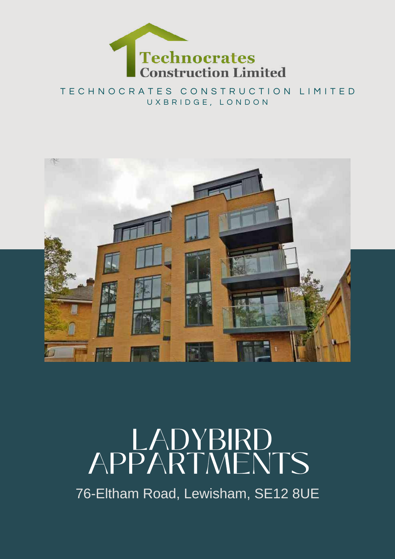

T E C H N O C R A T E S C O N S T R U C T I O N L I M I T E D U X B R I D G E , L O N D O N



# LADYBIRDAPPARTMENTS

76-Eltham Road, Lewisham, SE12 8UE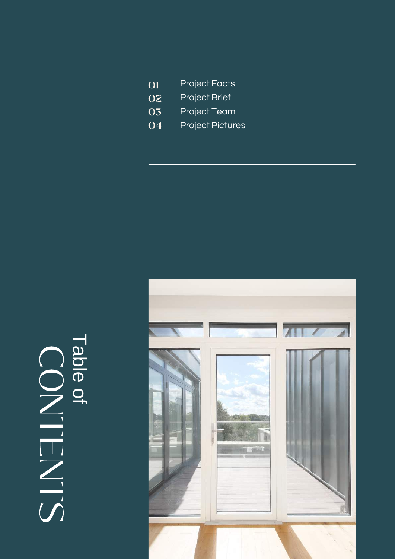| O <sub>1</sub> | <b>Project Facts</b> |
|----------------|----------------------|
|----------------|----------------------|

- Project Brief 02
- Project Team 03
- Project Pictures 04

### $\bigcap$ O  $\mathbb Z$  $\overline{\phantom{0}}$ **TT**  $\mathbb Z$  $\overline{\phantom{0}}$  $\mathcal{S}$  $\overline{\phantom{a}}$ a ble o  $\overline{\phantom{a}}$

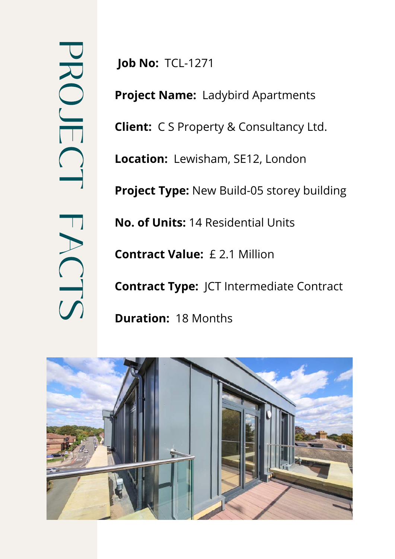$\overline{\mathbf{C}}$  $\overline{\mathcal{L}}$ O  $\overline{\phantom{0}}$ **TT**  $\bigcap$  $\rightarrow$ **Friday** A  $\bigcap$  $\rightarrow$  $\overline{\mathcal{L}}$ 

**Job No:** TCL-1271

**Project Name:** Ladybird Apartments

**Client:** C S Property & Consultancy Ltd.

**Location:** Lewisham, SE12, London

**Project Type:** New Build-05 storey building

**No. of Units:** 14 Residential Units

**Contract Value:** £ 2.1 Million

**Contract Type:** JCT Intermediate Contract

**Duration:** 18 Months

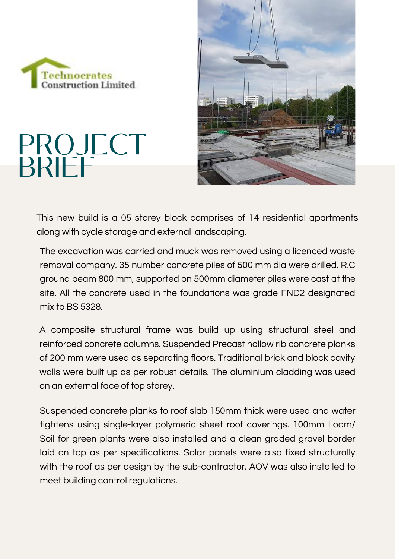

## PRO **IFCT** PRUJI<br>BRIFF



This new build is a 05 storey block comprises of 14 residential apartments along with cycle storage and external landscaping.

The excavation was carried and muck was removed using a licenced waste removal company. 35 number concrete piles of 500 mm dia were drilled. R.C ground beam 800 mm, supported on 500mm diameter piles were cast at the site. All the concrete used in the foundations was grade FND2 designated mix to BS 5328.

A composite structural frame was build up using structural steel and reinforced concrete columns. Suspended Precast hollow rib concrete planks of 200 mm were used as separating floors. Traditional brick and block cavity walls were built up as per robust details. The aluminium cladding was used on an external face of top storey.

Suspended concrete planks to roof slab 150mm thick were used and water tightens using single-layer polymeric sheet roof coverings. 100mm Loam/ Soil for green plants were also installed and a clean graded gravel border laid on top as per specifications. Solar panels were also fixed structurally with the roof as per design by the sub-contractor. AOV was also installed to meet building control regulations.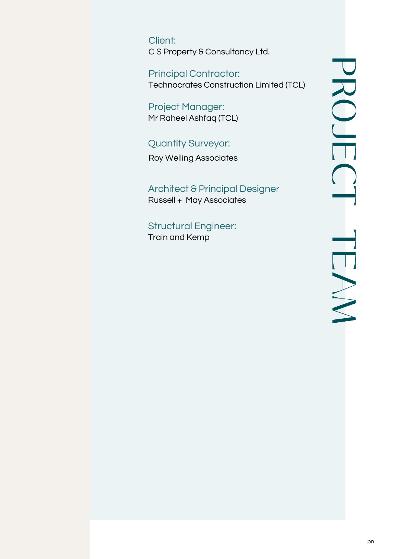Client: C S Property & Consultancy Ltd.

Principal Contractor: Technocrates Construction Limited (TCL)

Project Manager: Mr Raheel Ashfaq (TCL)

#### Quantity Surveyor:

Roy Welling Associates

#### Architect & Principal Designer Russell + May Associates

#### Structural Engineer:

Train and Kemp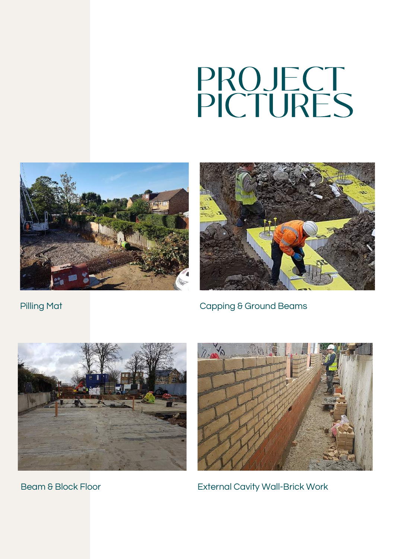# PROJECTPRUJLUI<br>PICTI IRES





Pilling Mat **Pilling Matrician Capping & Ground Beams** 





Beam & Block Floor **External Cavity Wall-Brick Work**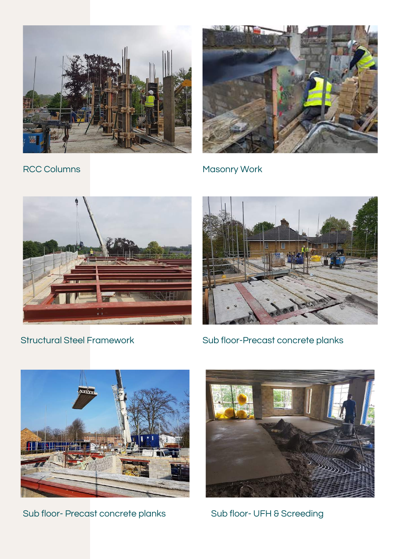



RCC Columns Masonry Work





Structural Steel Framework Sub floor-Precast concrete planks



Sub floor- Precast concrete planks



Sub floor- UFH & Screeding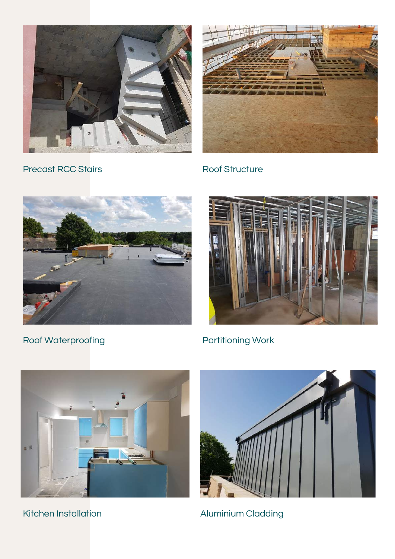

Precast RCC Stairs **Roof Structure** 





Roof Waterproofing **Partitioning Work** 







Kitchen Installation **Aluminium Cladding**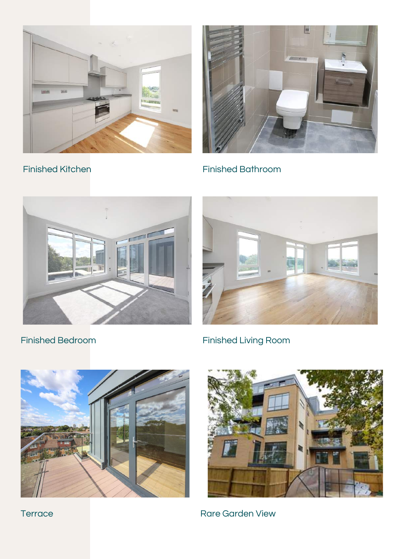



Finished Kitchen Finished Bathroom





Finished Bedroom Finished Living Room





Terrace Rare Garden View